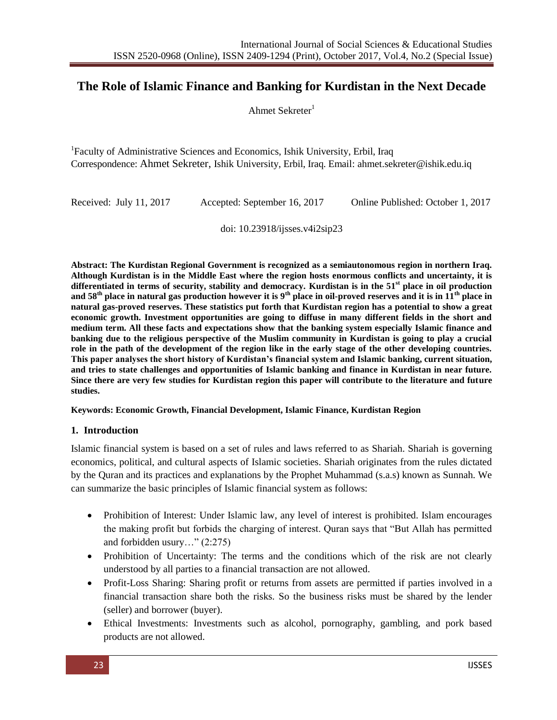# **The Role of Islamic Finance and Banking for Kurdistan in the Next Decade**

Ahmet Sekreter $1$ 

<sup>1</sup>Faculty of Administrative Sciences and Economics, Ishik University, Erbil, Iraq Correspondence: Ahmet Sekreter, Ishik University, Erbil, Iraq. Email: ahmet.sekreter@ishik.edu.iq

| Received: July 11, 2017 | Accepted: September 16, 2017 | Online Published: October 1, 2017 |
|-------------------------|------------------------------|-----------------------------------|
|-------------------------|------------------------------|-----------------------------------|

doi: 10.23918/ijsses.v4i2sip23

**Abstract: The Kurdistan Regional Government is recognized as a semiautonomous region in northern Iraq. Although Kurdistan is in the Middle East where the region hosts enormous conflicts and uncertainty, it is differentiated in terms of security, stability and democracy. Kurdistan is in the 51st place in oil production**  and  $58<sup>th</sup>$  place in natural gas production however it is  $9<sup>th</sup>$  place in oil-proved reserves and it is in  $11<sup>th</sup>$  place in **natural gas-proved reserves. These statistics put forth that Kurdistan region has a potential to show a great economic growth. Investment opportunities are going to diffuse in many different fields in the short and medium term. All these facts and expectations show that the banking system especially Islamic finance and banking due to the religious perspective of the Muslim community in Kurdistan is going to play a crucial role in the path of the development of the region like in the early stage of the other developing countries. This paper analyses the short history of Kurdistan's financial system and Islamic banking, current situation, and tries to state challenges and opportunities of Islamic banking and finance in Kurdistan in near future. Since there are very few studies for Kurdistan region this paper will contribute to the literature and future studies.** 

### **Keywords: Economic Growth, Financial Development, Islamic Finance, Kurdistan Region**

### **1. Introduction**

Islamic financial system is based on a set of rules and laws referred to as Shariah. Shariah is governing economics, political, and cultural aspects of Islamic societies. Shariah originates from the rules dictated by the Quran and its practices and explanations by the Prophet Muhammad (s.a.s) known as Sunnah. We can summarize the basic principles of Islamic financial system as follows:

- Prohibition of Interest: Under Islamic law, any level of interest is prohibited. Islam encourages the making profit but forbids the charging of interest. Quran says that "But Allah has permitted and forbidden usury…" (2:275)
- Prohibition of Uncertainty: The terms and the conditions which of the risk are not clearly understood by all parties to a financial transaction are not allowed.
- Profit-Loss Sharing: Sharing profit or returns from assets are permitted if parties involved in a financial transaction share both the risks. So the business risks must be shared by the lender (seller) and borrower (buyer).
- Ethical Investments: Investments such as alcohol, pornography, gambling, and pork based products are not allowed.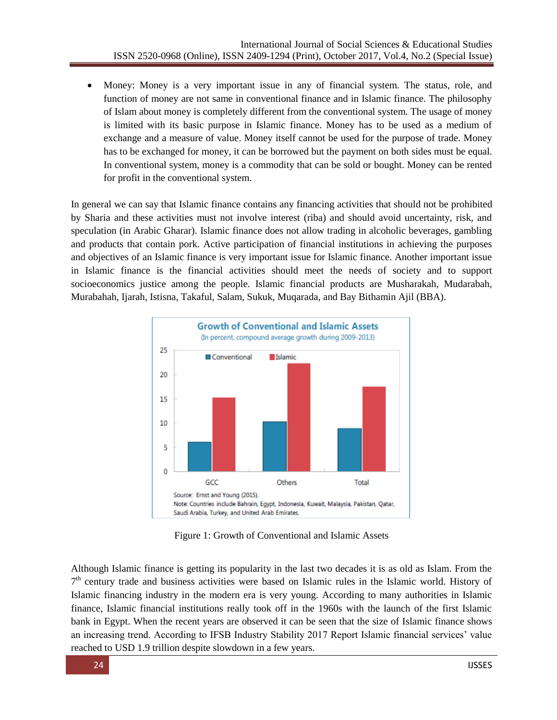• Money: Money is a very important issue in any of financial system. The status, role, and function of money are not same in conventional finance and in Islamic finance. The philosophy of Islam about money is completely different from the conventional system. The usage of money is limited with its basic purpose in Islamic finance. Money has to be used as a medium of exchange and a measure of value. Money itself cannot be used for the purpose of trade. Money has to be exchanged for money, it can be borrowed but the payment on both sides must be equal. In conventional system, money is a commodity that can be sold or bought. Money can be rented for profit in the conventional system.

In general we can say that Islamic finance contains any financing activities that should not be prohibited by Sharia and these activities must not involve interest (riba) and should avoid uncertainty, risk, and speculation (in Arabic Gharar). Islamic finance does not allow trading in alcoholic beverages, gambling and products that contain pork. Active participation of financial institutions in achieving the purposes and objectives of an Islamic finance is very important issue for Islamic finance. Another important issue in Islamic finance is the financial activities should meet the needs of society and to support socioeconomics justice among the people. Islamic financial products are Musharakah, Mudarabah, Murabahah, Ijarah, Istisna, Takaful, Salam, Sukuk, Muqarada, and Bay Bithamin Ajil (BBA).



Figure 1: Growth of Conventional and Islamic Assets

Although Islamic finance is getting its popularity in the last two decades it is as old as Islam. From the 7<sup>th</sup> century trade and business activities were based on Islamic rules in the Islamic world. History of Islamic financing industry in the modern era is very young. According to many authorities in Islamic finance, Islamic financial institutions really took off in the 1960s with the launch of the first Islamic bank in Egypt. When the recent years are observed it can be seen that the size of Islamic finance shows an increasing trend. According to IFSB Industry Stability 2017 Report Islamic financial services' value reached to USD 1.9 trillion despite slowdown in a few years.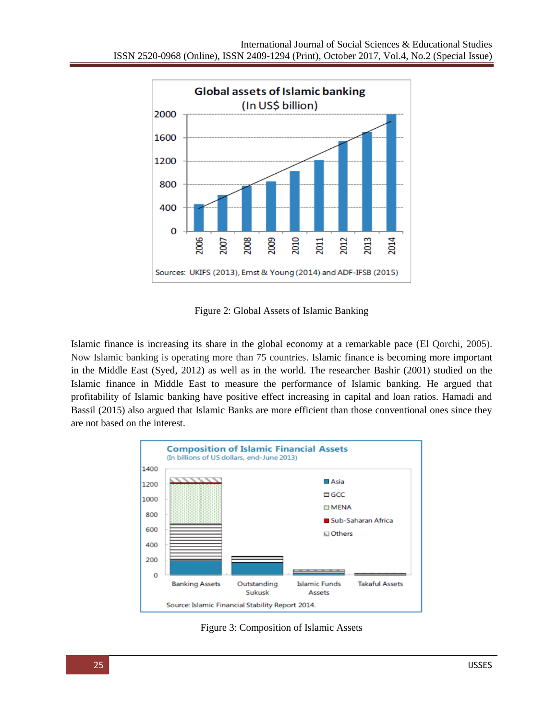

Figure 2: Global Assets of Islamic Banking

Islamic finance is increasing its share in the global economy at a remarkable pace (El Qorchi, 2005). Now Islamic banking is operating more than 75 countries. Islamic finance is becoming more important in the Middle East (Syed, 2012) as well as in the world. The researcher Bashir (2001) studied on the Islamic finance in Middle East to measure the performance of Islamic banking. He argued that profitability of Islamic banking have positive effect increasing in capital and loan ratios. Hamadi and Bassil (2015) also argued that Islamic Banks are more efficient than those conventional ones since they are not based on the interest.



Figure 3: Composition of Islamic Assets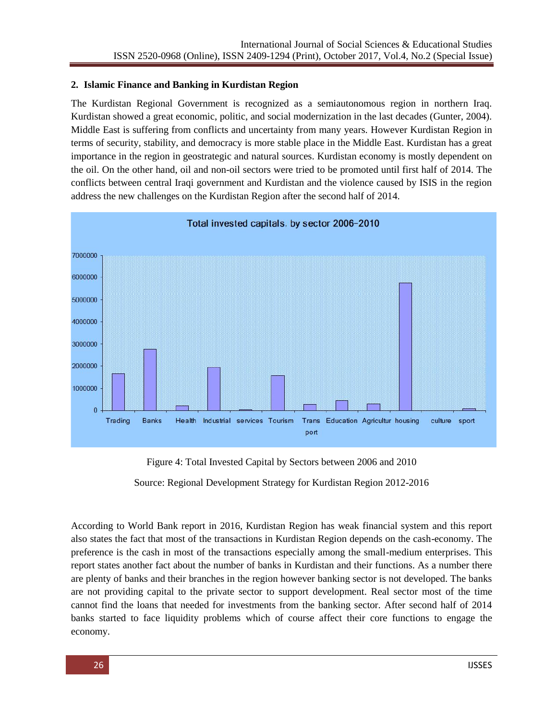## **2. Islamic Finance and Banking in Kurdistan Region**

The Kurdistan Regional Government is recognized as a semiautonomous region in northern Iraq. Kurdistan showed a great economic, politic, and social modernization in the last decades (Gunter, 2004). Middle East is suffering from conflicts and uncertainty from many years. However Kurdistan Region in terms of security, stability, and democracy is more stable place in the Middle East. Kurdistan has a great importance in the region in geostrategic and natural sources. Kurdistan economy is mostly dependent on the oil. On the other hand, oil and non-oil sectors were tried to be promoted until first half of 2014. The conflicts between central Iraqi government and Kurdistan and the violence caused by ISIS in the region address the new challenges on the Kurdistan Region after the second half of 2014.



Figure 4: Total Invested Capital by Sectors between 2006 and 2010

Source: Regional Development Strategy for Kurdistan Region 2012-2016

According to World Bank report in 2016, Kurdistan Region has weak financial system and this report also states the fact that most of the transactions in Kurdistan Region depends on the cash-economy. The preference is the cash in most of the transactions especially among the small-medium enterprises. This report states another fact about the number of banks in Kurdistan and their functions. As a number there are plenty of banks and their branches in the region however banking sector is not developed. The banks are not providing capital to the private sector to support development. Real sector most of the time cannot find the loans that needed for investments from the banking sector. After second half of 2014 banks started to face liquidity problems which of course affect their core functions to engage the economy.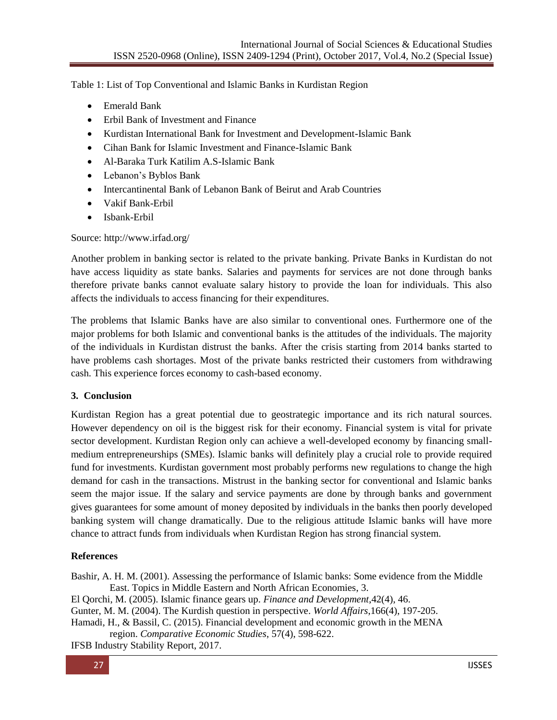Table 1: List of Top Conventional and Islamic Banks in Kurdistan Region

- Emerald Bank
- Erbil Bank of Investment and Finance
- Kurdistan International Bank for Investment and Development-Islamic Bank
- Cihan Bank for Islamic Investment and Finance-Islamic Bank
- Al-Baraka Turk Katilim A.S-Islamic Bank
- Lebanon's Byblos Bank
- Intercantinental Bank of Lebanon Bank of Beirut and Arab Countries
- Vakif Bank-Erbil
- Isbank-Erbil

Source: http://www.irfad.org/

Another problem in banking sector is related to the private banking. Private Banks in Kurdistan do not have access liquidity as state banks. Salaries and payments for services are not done through banks therefore private banks cannot evaluate salary history to provide the loan for individuals. This also affects the individuals to access financing for their expenditures.

The problems that Islamic Banks have are also similar to conventional ones. Furthermore one of the major problems for both Islamic and conventional banks is the attitudes of the individuals. The majority of the individuals in Kurdistan distrust the banks. After the crisis starting from 2014 banks started to have problems cash shortages. Most of the private banks restricted their customers from withdrawing cash. This experience forces economy to cash-based economy.

# **3. Conclusion**

Kurdistan Region has a great potential due to geostrategic importance and its rich natural sources. However dependency on oil is the biggest risk for their economy. Financial system is vital for private sector development. Kurdistan Region only can achieve a well-developed economy by financing smallmedium entrepreneurships (SMEs). Islamic banks will definitely play a crucial role to provide required fund for investments. Kurdistan government most probably performs new regulations to change the high demand for cash in the transactions. Mistrust in the banking sector for conventional and Islamic banks seem the major issue. If the salary and service payments are done by through banks and government gives guarantees for some amount of money deposited by individuals in the banks then poorly developed banking system will change dramatically. Due to the religious attitude Islamic banks will have more chance to attract funds from individuals when Kurdistan Region has strong financial system.

# **References**

Bashir, A. H. M. (2001). Assessing the performance of Islamic banks: Some evidence from the Middle East. Topics in Middle Eastern and North African Economies, 3.

El Qorchi, M. (2005). Islamic finance gears up. *Finance and Development*,42(4), 46.

Gunter, M. M. (2004). The Kurdish question in perspective. *World Affairs*,166(4), 197-205.

Hamadi, H., & Bassil, C. (2015). Financial development and economic growth in the MENA

region. *Comparative Economic Studies*, 57(4), 598-622.

IFSB Industry Stability Report, 2017.